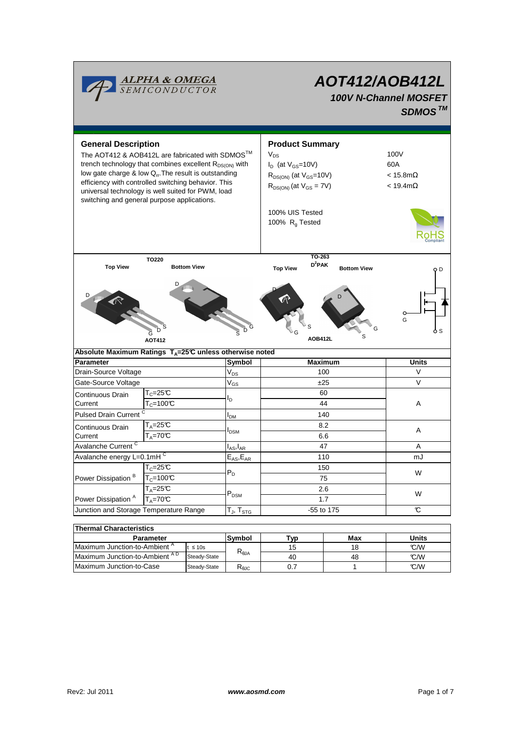| <b>ALPHA &amp; OMEGA</b><br>SEMICONDUCTOR                                                                                                                                                                                                                                                                                                                                                |                                          |  |                     | <b>AOT412/AOB412L</b><br><b>100V N-Channel MOSFET</b><br>SDMOS <sup>TM</sup>                                                                                                  |                                                          |                 |  |  |  |
|------------------------------------------------------------------------------------------------------------------------------------------------------------------------------------------------------------------------------------------------------------------------------------------------------------------------------------------------------------------------------------------|------------------------------------------|--|---------------------|-------------------------------------------------------------------------------------------------------------------------------------------------------------------------------|----------------------------------------------------------|-----------------|--|--|--|
| <b>General Description</b><br>The AOT412 & AOB412L are fabricated with SDMOS <sup>™</sup><br>trench technology that combines excellent $R_{DS(ON)}$ with<br>low gate charge & low Q <sub>rr</sub> . The result is outstanding<br>efficiency with controlled switching behavior. This<br>universal technology is well suited for PWM, load<br>switching and general purpose applications. |                                          |  |                     | <b>Product Summary</b><br>$V_{DS}$<br>$I_D$ (at $V_{GS}$ =10V)<br>$R_{DS(ON)}$ (at $V_{GS}=10V$ )<br>$R_{DS(ON)}$ (at $V_{GS} = 7V$ )<br>100% UIS Tested<br>100% $R_g$ Tested | 100V<br>60A<br>$< 15.8$ m $\Omega$<br>$<$ 19.4m $\Omega$ |                 |  |  |  |
| TO220<br><b>Top View</b><br><b>Bottom View</b><br>D<br>D<br>Ğ<br><b>AOT412</b>                                                                                                                                                                                                                                                                                                           |                                          |  | D                   | TO-263<br>$D^2$ PAK<br><b>Top View</b><br>AOB412L                                                                                                                             | <b>Bottom View</b><br>s                                  | O D<br>G<br>5 S |  |  |  |
| Absolute Maximum Ratings T <sub>A</sub> =25℃ unless otherwise noted                                                                                                                                                                                                                                                                                                                      |                                          |  |                     |                                                                                                                                                                               |                                                          |                 |  |  |  |
| Parameter                                                                                                                                                                                                                                                                                                                                                                                |                                          |  | Symbol              | <b>Maximum</b>                                                                                                                                                                |                                                          | Units           |  |  |  |
| Drain-Source Voltage                                                                                                                                                                                                                                                                                                                                                                     |                                          |  | $V_{DS}$            | 100                                                                                                                                                                           |                                                          | V               |  |  |  |
| Gate-Source Voltage                                                                                                                                                                                                                                                                                                                                                                      |                                          |  | $V_{GS}$            | ±25                                                                                                                                                                           |                                                          | $\vee$          |  |  |  |
| Continuous Drain                                                                                                                                                                                                                                                                                                                                                                         | $\mathsf{T}_{\mathbb C}$ =25 $\mathbb C$ |  |                     | 60                                                                                                                                                                            |                                                          |                 |  |  |  |
| Current                                                                                                                                                                                                                                                                                                                                                                                  | $T_c = 100C$                             |  | l <sub>D</sub>      | 44                                                                                                                                                                            |                                                          | Α               |  |  |  |
| Pulsed Drain Current <sup>C</sup>                                                                                                                                                                                                                                                                                                                                                        |                                          |  | I <sub>DM</sub>     |                                                                                                                                                                               | 140                                                      |                 |  |  |  |
| <b>Continuous Drain</b>                                                                                                                                                                                                                                                                                                                                                                  | T <sub>A</sub> =25℃                      |  |                     | 8.2                                                                                                                                                                           |                                                          |                 |  |  |  |
| Current                                                                                                                                                                                                                                                                                                                                                                                  | $T_A = 70^\circ C$                       |  | l <sub>DSM</sub>    | 6.6                                                                                                                                                                           |                                                          | A               |  |  |  |
| Avalanche Current <sup>C</sup>                                                                                                                                                                                                                                                                                                                                                           |                                          |  | $I_{AS}$ , $I_{AR}$ |                                                                                                                                                                               | 47                                                       | A               |  |  |  |
| Avalanche energy L=0.1mHC                                                                                                                                                                                                                                                                                                                                                                |                                          |  | $E_{AS}$ , $E_{AR}$ | 110                                                                                                                                                                           |                                                          | mJ              |  |  |  |
|                                                                                                                                                                                                                                                                                                                                                                                          | $T_c = 25C$                              |  | $P_D$               | 150                                                                                                                                                                           |                                                          | W               |  |  |  |
| Power Dissipation <sup>B</sup>                                                                                                                                                                                                                                                                                                                                                           | $T_c = 100C$                             |  |                     | 75                                                                                                                                                                            |                                                          |                 |  |  |  |
|                                                                                                                                                                                                                                                                                                                                                                                          | $T_A = 25C$                              |  |                     | 2.6                                                                                                                                                                           |                                                          |                 |  |  |  |
| Power Dissipation <sup>A</sup><br>$T_A = 70C$                                                                                                                                                                                                                                                                                                                                            |                                          |  | $P_{DSM}$           | 1.7                                                                                                                                                                           |                                                          | W               |  |  |  |
| Junction and Storage Temperature Range                                                                                                                                                                                                                                                                                                                                                   |                                          |  | $T_{J}$ , $T_{STG}$ | -55 to 175                                                                                                                                                                    |                                                          | C               |  |  |  |
|                                                                                                                                                                                                                                                                                                                                                                                          |                                          |  |                     |                                                                                                                                                                               |                                                          |                 |  |  |  |
| <b>Thermal Characteristics</b>                                                                                                                                                                                                                                                                                                                                                           |                                          |  |                     |                                                                                                                                                                               |                                                          |                 |  |  |  |
| Parameter                                                                                                                                                                                                                                                                                                                                                                                |                                          |  | Symbol              | <b>Typ</b>                                                                                                                                                                    | <b>Max</b>                                               | <b>Units</b>    |  |  |  |
| Maximum Junction-to-Ambient <sup>A</sup><br>$t \leq 10s$<br>$M$ ovimum lupation to Ambiont $AD$                                                                                                                                                                                                                                                                                          |                                          |  | $R_{\theta$ JA      | 15                                                                                                                                                                            | 18                                                       | °C/W<br>0.00    |  |  |  |

Steady-State

Steady-State R<sub>θJC</sub>

Maximum Junction-to-Case Steady-State R<sub>elic</sub> 0.7 1 C/W Maximum Junction-to-Ambient <sup>A D</sup> Steady-State C<sub>0JA</sub> Q<sub>0</sub> Q<sub>0</sub> Q<sub>0</sub> Q<sub>0</sub> Q<sub>0</sub> Q<sub>0</sub> Q<sub>0</sub> Q<sub>1</sub> Q<sub>0</sub> Q<sub>1</sub> Q<sub>1</sub> Q<sub>1</sub> Q<sub>1</sub> Q<sub>1</sub> Q<sub>1</sub> Q<sub>1</sub> Q<sub>1</sub> Q<sub>1</sub> Q<sub>1</sub> Q<sub>1</sub> Q<sub></sub>

0.7

40

48 1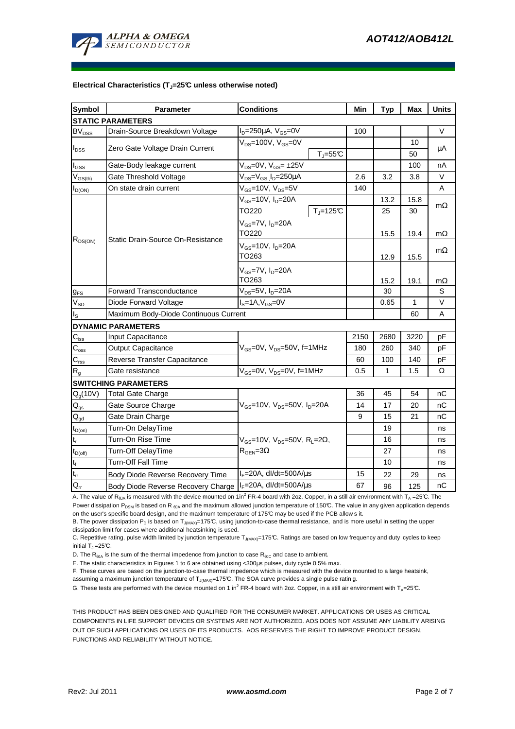

#### **Electrical Characteristics (TJ=25°C unless otherwise noted)**

| <b>Symbol</b>              | <b>Parameter</b>                                                                | <b>Conditions</b>                                  | Min  | <b>Typ</b> | Max  | <b>Units</b> |  |  |  |  |  |  |
|----------------------------|---------------------------------------------------------------------------------|----------------------------------------------------|------|------------|------|--------------|--|--|--|--|--|--|
| <b>STATIC PARAMETERS</b>   |                                                                                 |                                                    |      |            |      |              |  |  |  |  |  |  |
| $BV_{DSS}$                 | $I_D = 250 \mu A$ , $V_{GS} = 0V$<br>Drain-Source Breakdown Voltage             |                                                    | 100  |            |      | V            |  |  |  |  |  |  |
| $I_{DSS}$                  |                                                                                 | $V_{DS}$ =100V, $V_{GS}$ =0V                       |      |            | 10   |              |  |  |  |  |  |  |
|                            | Zero Gate Voltage Drain Current                                                 | $T_J = 55C$                                        |      |            | 50   | μA           |  |  |  |  |  |  |
| $I_{\rm GSS}$              | Gate-Body leakage current                                                       | $V_{DS} = 0V$ , $V_{GS} = \pm 25V$                 |      |            | 100  | nA           |  |  |  |  |  |  |
| $\rm V_{GS(th)}$           | Gate Threshold Voltage                                                          | $V_{DS} = V_{GS} I_D = 250 \mu A$                  | 2.6  | 3.2        | 3.8  | $\vee$       |  |  |  |  |  |  |
| $I_{D(ON)}$                | On state drain current                                                          | $V_{GS}$ =10V, $V_{DS}$ =5V                        |      |            |      | A            |  |  |  |  |  |  |
| $R_{DS(ON)}$               |                                                                                 | $V_{GS}$ =10V, $I_D$ =20A<br>$T_i = 125C$<br>TO220 |      | 13.2       | 15.8 | $m\Omega$    |  |  |  |  |  |  |
|                            | Static Drain-Source On-Resistance                                               |                                                    |      | 25         | 30   |              |  |  |  |  |  |  |
|                            |                                                                                 | $V_{GS}$ =7V, $I_D$ =20A                           |      |            |      |              |  |  |  |  |  |  |
|                            |                                                                                 | TO220                                              |      | 15.5       | 19.4 | $m\Omega$    |  |  |  |  |  |  |
|                            |                                                                                 | $V_{GS}$ =10V, $I_D$ =20A                          |      |            |      | $m\Omega$    |  |  |  |  |  |  |
|                            |                                                                                 | TO <sub>263</sub>                                  |      | 12.9       | 15.5 |              |  |  |  |  |  |  |
|                            |                                                                                 | $V_{GS}$ =7V, $I_{D}$ =20A                         |      |            |      |              |  |  |  |  |  |  |
|                            |                                                                                 | TO <sub>263</sub>                                  |      | 15.2       | 19.1 | $m\Omega$    |  |  |  |  |  |  |
| $g_{FS}$                   | $V_{DS}=5V$ , $I_D=20A$<br><b>Forward Transconductance</b>                      |                                                    |      | 30         |      | S            |  |  |  |  |  |  |
| $\mathsf{V}_{\mathsf{SD}}$ | $IS=1A, VGS=0V$<br>Diode Forward Voltage                                        |                                                    |      | 0.65       | 1    | V            |  |  |  |  |  |  |
| $I_{\rm S}$                | Maximum Body-Diode Continuous Current                                           |                                                    |      | 60         | A    |              |  |  |  |  |  |  |
|                            | <b>DYNAMIC PARAMETERS</b>                                                       |                                                    |      |            |      |              |  |  |  |  |  |  |
| $C_{\rm iss}$              | Input Capacitance                                                               |                                                    | 2150 | 2680       | 3220 | pF           |  |  |  |  |  |  |
| $\mathbf{C}_{\text{oss}}$  | <b>Output Capacitance</b>                                                       | $V_{GS}$ =0V, $V_{DS}$ =50V, f=1MHz                |      | 260        | 340  | pF           |  |  |  |  |  |  |
| $C_{\text{rss}}$           | Reverse Transfer Capacitance                                                    |                                                    | 60   | 100        | 140  | pF           |  |  |  |  |  |  |
| $R_{g}$                    | $V_{GS}$ =0V, $V_{DS}$ =0V, f=1MHz<br>Gate resistance                           |                                                    | 0.5  | 1          | 1.5  | Ω            |  |  |  |  |  |  |
|                            | <b>SWITCHING PARAMETERS</b>                                                     |                                                    |      |            |      |              |  |  |  |  |  |  |
| $Q_q(10V)$                 | <b>Total Gate Charge</b>                                                        |                                                    | 36   | 45         | 54   | nС           |  |  |  |  |  |  |
| $\mathsf{Q}_{\text{gs}}$   | Gate Source Charge                                                              | $V_{GS}$ =10V, $V_{DS}$ =50V, $I_{D}$ =20A         | 14   | 17         | 20   | nC           |  |  |  |  |  |  |
| $\mathbf{Q}_{\text{gd}}$   | Gate Drain Charge                                                               |                                                    | 9    | 15         | 21   | nС           |  |  |  |  |  |  |
| $t_{D(on)}$                | Turn-On DelayTime                                                               |                                                    |      | 19         |      | ns           |  |  |  |  |  |  |
| $t_r$                      | Turn-On Rise Time<br>$V_{GS}$ =10V, $V_{DS}$ =50V, R <sub>L</sub> =2 $\Omega$ , |                                                    |      | 16         |      | ns           |  |  |  |  |  |  |
| $t_{D{\rm (off)}}$         | $R_{\text{GEN}} = 3\Omega$<br><b>Turn-Off DelayTime</b>                         |                                                    |      | 27         |      | ns           |  |  |  |  |  |  |
| $t_f$                      | <b>Turn-Off Fall Time</b>                                                       |                                                    |      | 10         |      | ns           |  |  |  |  |  |  |
| $t_{rr}$                   | $I_F = 20A$ , dl/dt=500A/ $\mu$ s<br>Body Diode Reverse Recovery Time           |                                                    | 15   | 22         | 29   | ns           |  |  |  |  |  |  |
| $\mathsf{Q}_{\mathsf{rr}}$ | Body Diode Reverse Recovery Charge   IF=20A, dl/dt=500A/us                      |                                                    | 67   | 96         | 125  | nC           |  |  |  |  |  |  |

A. The value of R<sub>6JA</sub> is measured with the device mounted on 1in<sup>2</sup> FR-4 board with 2oz. Copper, in a still air environment with T<sub>A</sub> =25°C. The Power dissipation P<sub>DSM</sub> is based on R<sub>6JA</sub> and the maximum allowed junction temperature of 150°C. The value in any given application depends on the user's specific board design, and the maximum temperature of 175°C may be used if the PCB allow s it.

B. The power dissipation  $P_D$  is based on  $T_{J(MAX)}$ =175°C, using junction-to-case thermal resistance, and is more useful in setting the upper dissipation limit for cases where additional heatsinking is used.

C. Repetitive rating, pulse width limited by junction temperature  $T_{J_{\text{IMAN}}=175}$ °C. Ratings are based on low frequency and duty cycles to keep initial  $T_1 = 25^{\circ}C$ .

D. The  $R_{\theta JA}$  is the sum of the thermal impedence from junction to case  $R_{\theta JC}$  and case to ambient.

E. The static characteristics in Figures 1 to 6 are obtained using <300µs pulses, duty cycle 0.5% max.

F. These curves are based on the junction-to-case thermal impedence which is measured with the device mounted to a large heatsink,

assuming a maximum junction temperature of  $T_{J(MAX)}$ =175°C. The SOA curve provides a single pulse ratin g.

G. These tests are performed with the device mounted on 1 in<sup>2</sup> FR-4 board with 2oz. Copper, in a still air environment with T<sub>A</sub>=25°C.

THIS PRODUCT HAS BEEN DESIGNED AND QUALIFIED FOR THE CONSUMER MARKET. APPLICATIONS OR USES AS CRITICAL COMPONENTS IN LIFE SUPPORT DEVICES OR SYSTEMS ARE NOT AUTHORIZED. AOS DOES NOT ASSUME ANY LIABILITY ARISING OUT OF SUCH APPLICATIONS OR USES OF ITS PRODUCTS. AOS RESERVES THE RIGHT TO IMPROVE PRODUCT DESIGN, FUNCTIONS AND RELIABILITY WITHOUT NOTICE.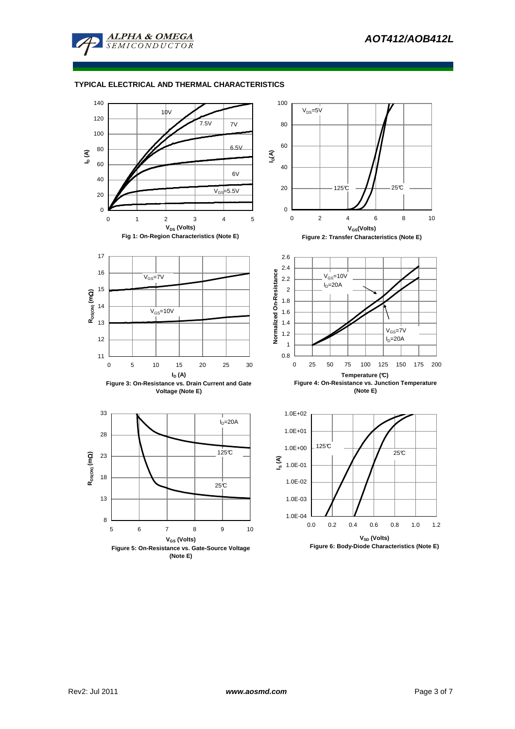





**Figure 6: Body-Diode Characteristics (Note E)**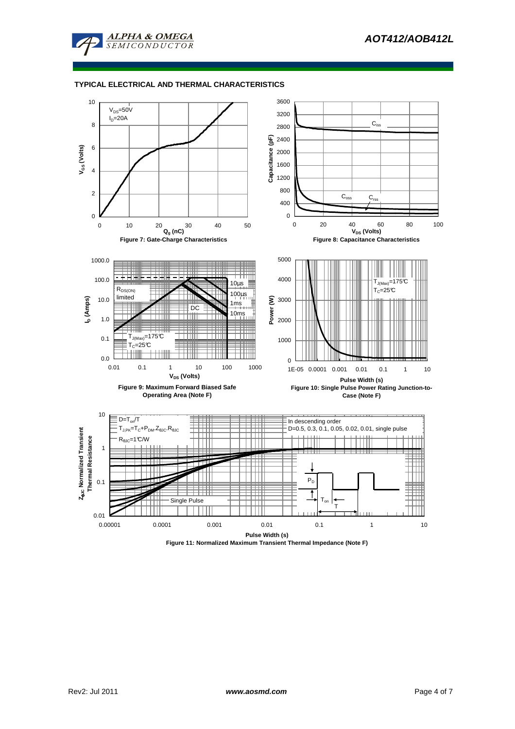



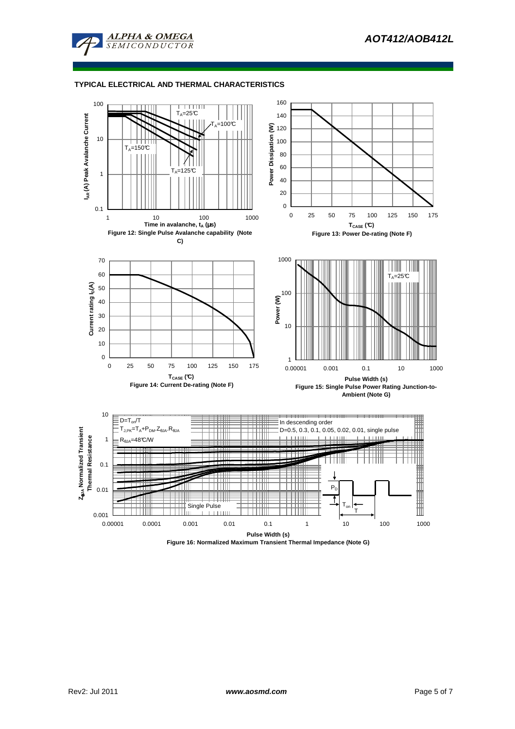



**Figure 16: Normalized Maximum Transient Thermal Impedance (Note G)**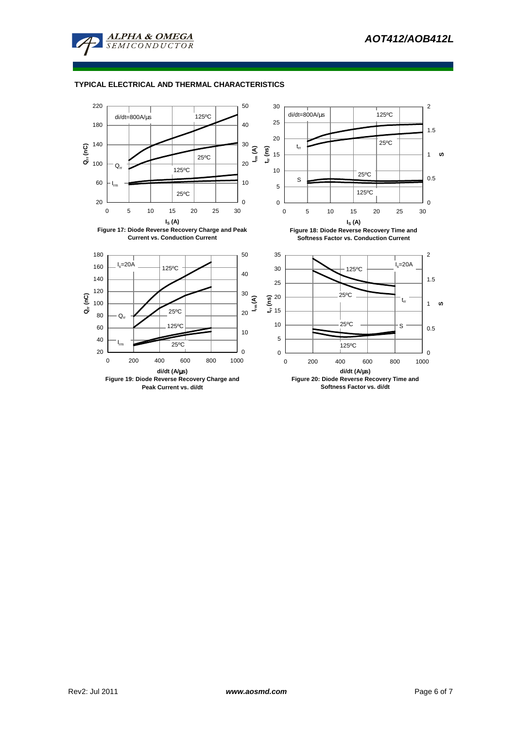